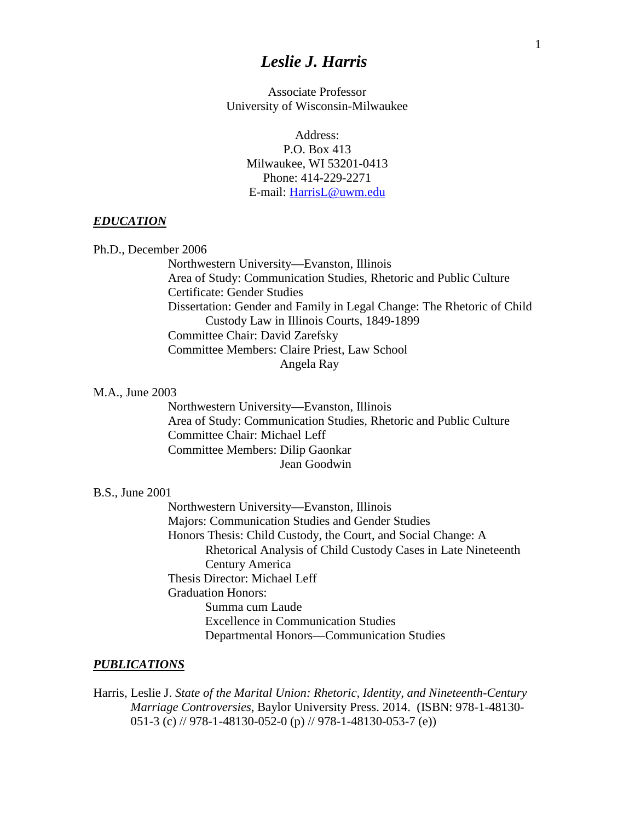# *Leslie J. Harris*

Associate Professor University of Wisconsin-Milwaukee

> Address: P.O. Box 413 Milwaukee, WI 53201-0413 Phone: 414-229-2271 E-mail: [HarrisL@uwm.edu](mailto:HarrisL@uwm.edu)

#### *EDUCATION*

Ph.D., December 2006

Northwestern University—Evanston, Illinois Area of Study: Communication Studies, Rhetoric and Public Culture Certificate: Gender Studies Dissertation: Gender and Family in Legal Change: The Rhetoric of Child Custody Law in Illinois Courts, 1849-1899 Committee Chair: David Zarefsky Committee Members: Claire Priest, Law School Angela Ray

#### M.A., June 2003

Northwestern University—Evanston, Illinois Area of Study: Communication Studies, Rhetoric and Public Culture Committee Chair: Michael Leff Committee Members: Dilip Gaonkar Jean Goodwin

### B.S., June 2001

Northwestern University—Evanston, Illinois Majors: Communication Studies and Gender Studies Honors Thesis: Child Custody, the Court, and Social Change: A Rhetorical Analysis of Child Custody Cases in Late Nineteenth Century America Thesis Director: Michael Leff Graduation Honors: Summa cum Laude Excellence in Communication Studies Departmental Honors—Communication Studies

#### *PUBLICATIONS*

Harris, Leslie J. *State of the Marital Union: Rhetoric, Identity, and Nineteenth-Century Marriage Controversies*, Baylor University Press. 2014. (ISBN: 978-1-48130- 051-3 (c) // 978-1-48130-052-0 (p) // 978-1-48130-053-7 (e))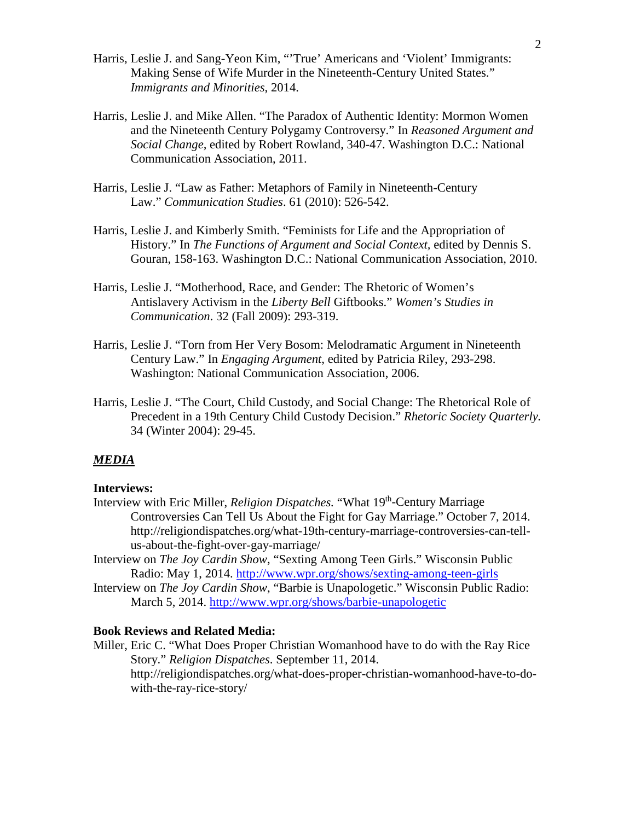- Harris, Leslie J. and Sang-Yeon Kim, "'True' Americans and 'Violent' Immigrants: Making Sense of Wife Murder in the Nineteenth-Century United States." *Immigrants and Minorities*, 2014.
- Harris, Leslie J. and Mike Allen. "The Paradox of Authentic Identity: Mormon Women and the Nineteenth Century Polygamy Controversy." In *Reasoned Argument and Social Change,* edited by Robert Rowland, 340-47. Washington D.C.: National Communication Association, 2011.
- Harris, Leslie J. "Law as Father: Metaphors of Family in Nineteenth-Century Law." *Communication Studies*. 61 (2010): 526-542.
- Harris, Leslie J. and Kimberly Smith. "Feminists for Life and the Appropriation of History." In *The Functions of Argument and Social Context,* edited by Dennis S. Gouran, 158-163. Washington D.C.: National Communication Association, 2010.
- Harris, Leslie J. "Motherhood, Race, and Gender: The Rhetoric of Women's Antislavery Activism in the *Liberty Bell* Giftbooks." *Women's Studies in Communication*. 32 (Fall 2009): 293-319.
- Harris, Leslie J. "Torn from Her Very Bosom: Melodramatic Argument in Nineteenth Century Law." In *Engaging Argument*, edited by Patricia Riley, 293-298. Washington: National Communication Association, 2006.
- Harris, Leslie J. "The Court, Child Custody, and Social Change: The Rhetorical Role of Precedent in a 19th Century Child Custody Decision." *Rhetoric Society Quarterly.*  34 (Winter 2004): 29-45.

## *MEDIA*

#### **Interviews:**

- Interview with Eric Miller, *Religion Dispatches*. "What 19<sup>th</sup>-Century Marriage Controversies Can Tell Us About the Fight for Gay Marriage." October 7, 2014. http://religiondispatches.org/what-19th-century-marriage-controversies-can-tellus-about-the-fight-over-gay-marriage/
- Interview on *The Joy Cardin Show*, "Sexting Among Teen Girls." Wisconsin Public Radio: May 1, 2014.<http://www.wpr.org/shows/sexting-among-teen-girls>
- Interview on *The Joy Cardin Show*, "Barbie is Unapologetic." Wisconsin Public Radio: March 5, 2014.<http://www.wpr.org/shows/barbie-unapologetic>

### **Book Reviews and Related Media:**

Miller, Eric C. "What Does Proper Christian Womanhood have to do with the Ray Rice Story." *Religion Dispatches*. September 11, 2014. http://religiondispatches.org/what-does-proper-christian-womanhood-have-to-dowith-the-ray-rice-story/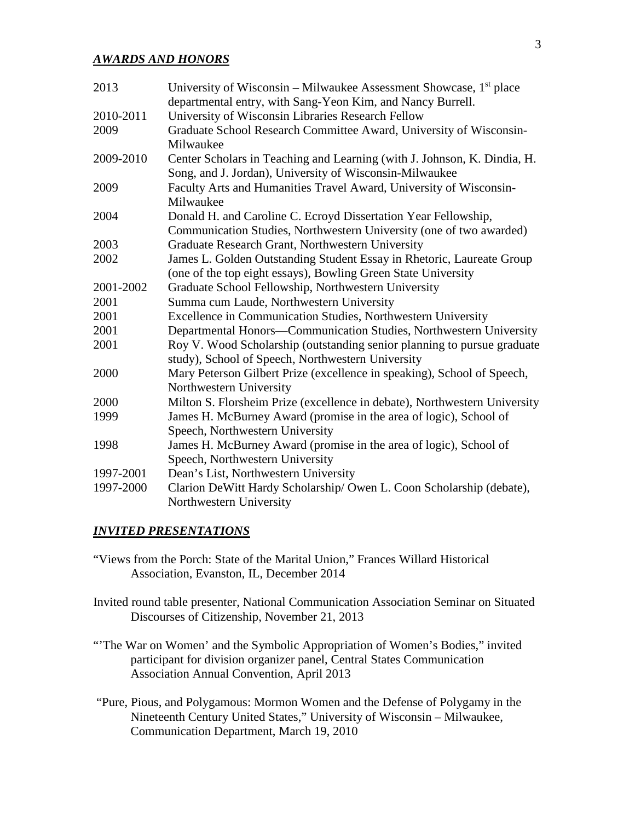#### *AWARDS AND HONORS*

| 2013      | University of Wisconsin – Milwaukee Assessment Showcase, $1st$ place      |
|-----------|---------------------------------------------------------------------------|
|           | departmental entry, with Sang-Yeon Kim, and Nancy Burrell.                |
| 2010-2011 | University of Wisconsin Libraries Research Fellow                         |
| 2009      | Graduate School Research Committee Award, University of Wisconsin-        |
|           | Milwaukee                                                                 |
| 2009-2010 | Center Scholars in Teaching and Learning (with J. Johnson, K. Dindia, H.  |
|           | Song, and J. Jordan), University of Wisconsin-Milwaukee                   |
| 2009      | Faculty Arts and Humanities Travel Award, University of Wisconsin-        |
|           | Milwaukee                                                                 |
| 2004      | Donald H. and Caroline C. Ecroyd Dissertation Year Fellowship,            |
|           | Communication Studies, Northwestern University (one of two awarded)       |
| 2003      | Graduate Research Grant, Northwestern University                          |
| 2002      | James L. Golden Outstanding Student Essay in Rhetoric, Laureate Group     |
|           | (one of the top eight essays), Bowling Green State University             |
| 2001-2002 | Graduate School Fellowship, Northwestern University                       |
| 2001      | Summa cum Laude, Northwestern University                                  |
| 2001      | Excellence in Communication Studies, Northwestern University              |
| 2001      | Departmental Honors—Communication Studies, Northwestern University        |
| 2001      | Roy V. Wood Scholarship (outstanding senior planning to pursue graduate   |
|           | study), School of Speech, Northwestern University                         |
| 2000      | Mary Peterson Gilbert Prize (excellence in speaking), School of Speech,   |
|           | Northwestern University                                                   |
| 2000      | Milton S. Florsheim Prize (excellence in debate), Northwestern University |
| 1999      | James H. McBurney Award (promise in the area of logic), School of         |
|           | Speech, Northwestern University                                           |
| 1998      | James H. McBurney Award (promise in the area of logic), School of         |
|           | Speech, Northwestern University                                           |
| 1997-2001 | Dean's List, Northwestern University                                      |
| 1997-2000 | Clarion DeWitt Hardy Scholarship/ Owen L. Coon Scholarship (debate),      |
|           | Northwestern University                                                   |

### *INVITED PRESENTATIONS*

- "Views from the Porch: State of the Marital Union," Frances Willard Historical Association, Evanston, IL, December 2014
- Invited round table presenter, National Communication Association Seminar on Situated Discourses of Citizenship, November 21, 2013
- "The War on Women' and the Symbolic Appropriation of Women's Bodies," invited participant for division organizer panel, Central States Communication Association Annual Convention, April 2013
- "Pure, Pious, and Polygamous: Mormon Women and the Defense of Polygamy in the Nineteenth Century United States," University of Wisconsin – Milwaukee, Communication Department, March 19, 2010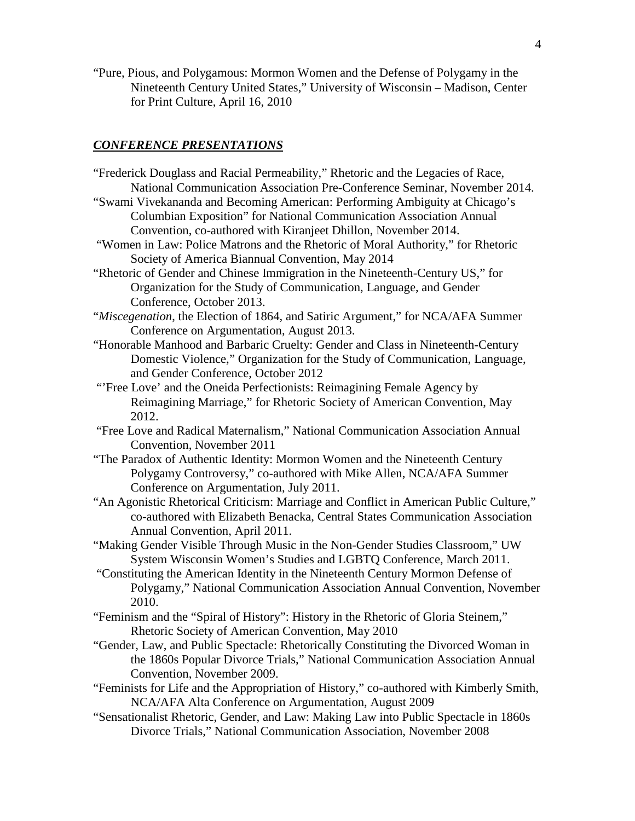"Pure, Pious, and Polygamous: Mormon Women and the Defense of Polygamy in the Nineteenth Century United States," University of Wisconsin – Madison, Center for Print Culture, April 16, 2010

# *CONFERENCE PRESENTATIONS*

| "Frederick Douglass and Racial Permeability," Rhetoric and the Legacies of Race,                                                                    |
|-----------------------------------------------------------------------------------------------------------------------------------------------------|
| National Communication Association Pre-Conference Seminar, November 2014.                                                                           |
| "Swami Vivekananda and Becoming American: Performing Ambiguity at Chicago's                                                                         |
| Columbian Exposition" for National Communication Association Annual                                                                                 |
| Convention, co-authored with Kiranjeet Dhillon, November 2014.                                                                                      |
| "Women in Law: Police Matrons and the Rhetoric of Moral Authority," for Rhetoric                                                                    |
| Society of America Biannual Convention, May 2014                                                                                                    |
| "Rhetoric of Gender and Chinese Immigration in the Nineteenth-Century US," for                                                                      |
| Organization for the Study of Communication, Language, and Gender                                                                                   |
| Conference, October 2013.                                                                                                                           |
| "Miscegenation, the Election of 1864, and Satiric Argument," for NCA/AFA Summer                                                                     |
| Conference on Argumentation, August 2013.                                                                                                           |
| "Honorable Manhood and Barbaric Cruelty: Gender and Class in Nineteenth-Century                                                                     |
| Domestic Violence," Organization for the Study of Communication, Language,                                                                          |
| and Gender Conference, October 2012                                                                                                                 |
| "'Free Love' and the Oneida Perfectionists: Reimagining Female Agency by                                                                            |
| Reimagining Marriage," for Rhetoric Society of American Convention, May<br>2012.                                                                    |
| "Free Love and Radical Maternalism," National Communication Association Annual                                                                      |
| Convention, November 2011                                                                                                                           |
| "The Paradox of Authentic Identity: Mormon Women and the Nineteenth Century                                                                         |
| Polygamy Controversy," co-authored with Mike Allen, NCA/AFA Summer                                                                                  |
| Conference on Argumentation, July 2011.                                                                                                             |
| "An Agonistic Rhetorical Criticism: Marriage and Conflict in American Public Culture,"                                                              |
| co-authored with Elizabeth Benacka, Central States Communication Association                                                                        |
| Annual Convention, April 2011.                                                                                                                      |
| "Making Gender Visible Through Music in the Non-Gender Studies Classroom," UW<br>System Wisconsin Women's Studies and LGBTQ Conference, March 2011. |
| "Constituting the American Identity in the Nineteenth Century Mormon Defense of                                                                     |
| Polygamy," National Communication Association Annual Convention, November                                                                           |
| 2010.                                                                                                                                               |
| "Feminism and the "Spiral of History": History in the Rhetoric of Gloria Steinem,"                                                                  |
| Rhetoric Society of American Convention, May 2010                                                                                                   |
| "Gender, Law, and Public Spectacle: Rhetorically Constituting the Divorced Woman in                                                                 |
| the 1860s Popular Divorce Trials," National Communication Association Annual                                                                        |
| Convention, November 2009.                                                                                                                          |
| "Feminists for Life and the Appropriation of History," co-authored with Kimberly Smith,                                                             |
| NCA/AFA Alta Conference on Argumentation, August 2009                                                                                               |
| "Sensationalist Rhetoric, Gender, and Law: Making Law into Public Spectacle in 1860s                                                                |
| Divorce Trials," National Communication Association, November 2008                                                                                  |
|                                                                                                                                                     |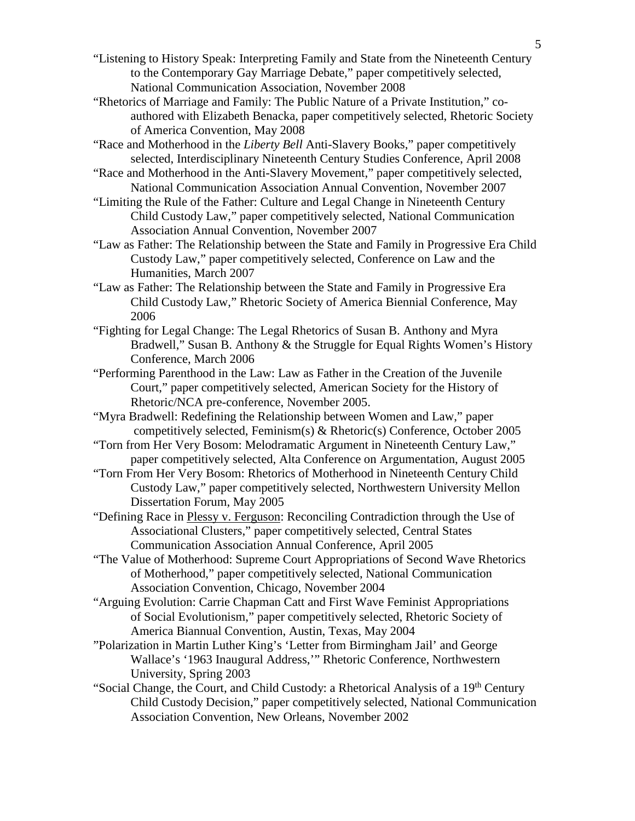"Listening to History Speak: Interpreting Family and State from the Nineteenth Century to the Contemporary Gay Marriage Debate," paper competitively selected, National Communication Association, November 2008

- "Rhetorics of Marriage and Family: The Public Nature of a Private Institution," coauthored with Elizabeth Benacka, paper competitively selected, Rhetoric Society of America Convention, May 2008
- "Race and Motherhood in the *Liberty Bell* Anti-Slavery Books," paper competitively selected, Interdisciplinary Nineteenth Century Studies Conference, April 2008
- "Race and Motherhood in the Anti-Slavery Movement," paper competitively selected, National Communication Association Annual Convention, November 2007
- "Limiting the Rule of the Father: Culture and Legal Change in Nineteenth Century Child Custody Law," paper competitively selected, National Communication Association Annual Convention, November 2007
- "Law as Father: The Relationship between the State and Family in Progressive Era Child Custody Law," paper competitively selected, Conference on Law and the Humanities, March 2007
- "Law as Father: The Relationship between the State and Family in Progressive Era Child Custody Law," Rhetoric Society of America Biennial Conference, May 2006
- "Fighting for Legal Change: The Legal Rhetorics of Susan B. Anthony and Myra Bradwell," Susan B. Anthony & the Struggle for Equal Rights Women's History Conference, March 2006
- "Performing Parenthood in the Law: Law as Father in the Creation of the Juvenile Court," paper competitively selected, American Society for the History of Rhetoric/NCA pre-conference, November 2005.
- "Myra Bradwell: Redefining the Relationship between Women and Law," paper competitively selected, Feminism(s) & Rhetoric(s) Conference, October 2005
- "Torn from Her Very Bosom: Melodramatic Argument in Nineteenth Century Law," paper competitively selected, Alta Conference on Argumentation, August 2005
- "Torn From Her Very Bosom: Rhetorics of Motherhood in Nineteenth Century Child Custody Law," paper competitively selected, Northwestern University Mellon Dissertation Forum, May 2005
- "Defining Race in Plessy v. Ferguson: Reconciling Contradiction through the Use of Associational Clusters," paper competitively selected, Central States Communication Association Annual Conference, April 2005
- "The Value of Motherhood: Supreme Court Appropriations of Second Wave Rhetorics of Motherhood," paper competitively selected, National Communication Association Convention, Chicago, November 2004
- "Arguing Evolution: Carrie Chapman Catt and First Wave Feminist Appropriations of Social Evolutionism," paper competitively selected, Rhetoric Society of America Biannual Convention, Austin, Texas, May 2004
- "Polarization in Martin Luther King's 'Letter from Birmingham Jail' and George Wallace's '1963 Inaugural Address,'" Rhetoric Conference, Northwestern University, Spring 2003
- "Social Change, the Court, and Child Custody: a Rhetorical Analysis of a 19<sup>th</sup> Century Child Custody Decision," paper competitively selected, National Communication Association Convention, New Orleans, November 2002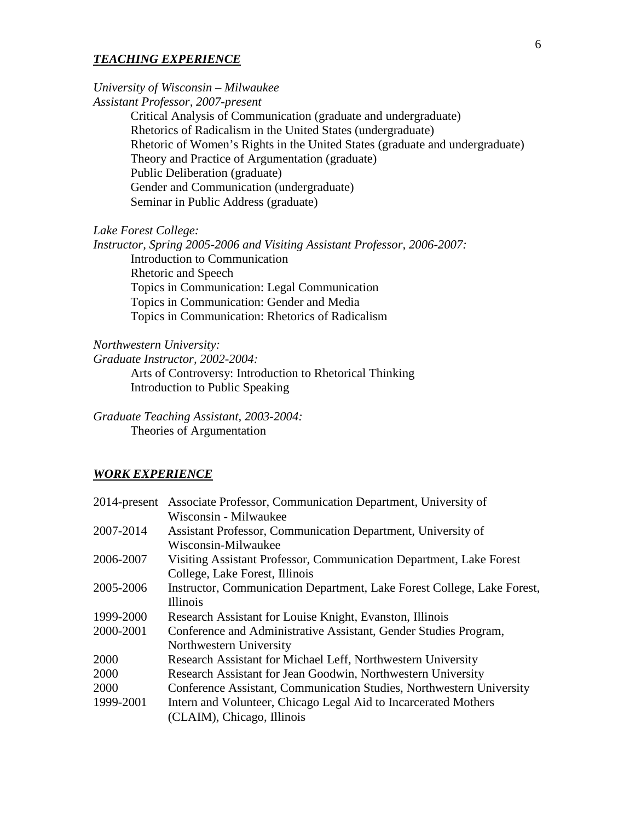#### *TEACHING EXPERIENCE*

# *University of Wisconsin – Milwaukee*

*Assistant Professor, 2007-present*

Critical Analysis of Communication (graduate and undergraduate) Rhetorics of Radicalism in the United States (undergraduate) Rhetoric of Women's Rights in the United States (graduate and undergraduate) Theory and Practice of Argumentation (graduate) Public Deliberation (graduate) Gender and Communication (undergraduate) Seminar in Public Address (graduate)

### *Lake Forest College:*

*Instructor, Spring 2005-2006 and Visiting Assistant Professor, 2006-2007:* Introduction to Communication Rhetoric and Speech Topics in Communication: Legal Communication Topics in Communication: Gender and Media Topics in Communication: Rhetorics of Radicalism

*Northwestern University:* 

*Graduate Instructor, 2002-2004:*

Arts of Controversy: Introduction to Rhetorical Thinking Introduction to Public Speaking

*Graduate Teaching Assistant, 2003-2004:* Theories of Argumentation

#### *WORK EXPERIENCE*

|           | 2014-present Associate Professor, Communication Department, University of |
|-----------|---------------------------------------------------------------------------|
|           | Wisconsin - Milwaukee                                                     |
| 2007-2014 | Assistant Professor, Communication Department, University of              |
|           | Wisconsin-Milwaukee                                                       |
| 2006-2007 | Visiting Assistant Professor, Communication Department, Lake Forest       |
|           | College, Lake Forest, Illinois                                            |
| 2005-2006 | Instructor, Communication Department, Lake Forest College, Lake Forest,   |
|           | <b>Illinois</b>                                                           |
| 1999-2000 | Research Assistant for Louise Knight, Evanston, Illinois                  |
| 2000-2001 | Conference and Administrative Assistant, Gender Studies Program,          |
|           | Northwestern University                                                   |
| 2000      | Research Assistant for Michael Leff, Northwestern University              |
| 2000      | Research Assistant for Jean Goodwin, Northwestern University              |
| 2000      | Conference Assistant, Communication Studies, Northwestern University      |
| 1999-2001 | Intern and Volunteer, Chicago Legal Aid to Incarcerated Mothers           |
|           | (CLAIM), Chicago, Illinois                                                |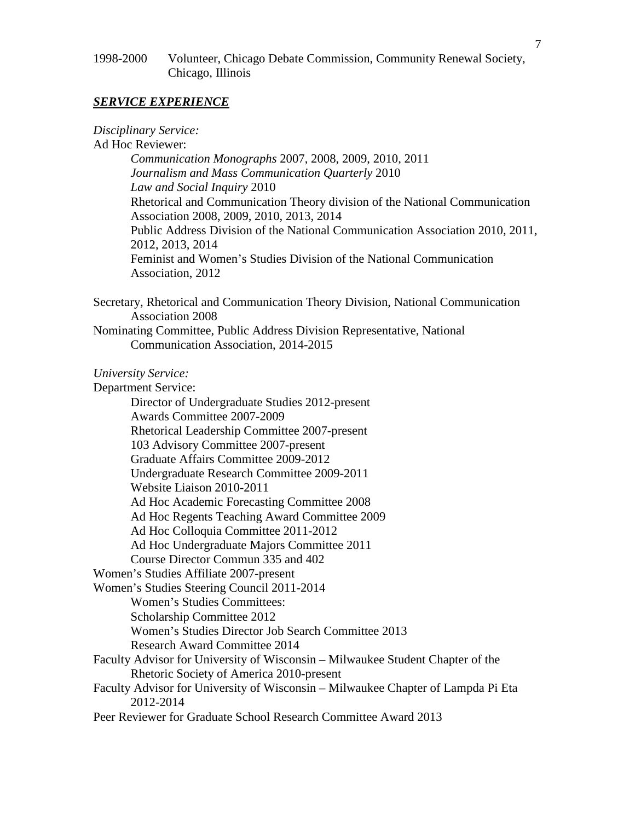## 1998-2000 Volunteer, Chicago Debate Commission, Community Renewal Society, Chicago, Illinois

## *SERVICE EXPERIENCE*

*Disciplinary Service:*

Ad Hoc Reviewer:

*Communication Monographs* 2007, 2008, 2009, 2010, 2011 *Journalism and Mass Communication Quarterly* 2010 *Law and Social Inquiry* 2010 Rhetorical and Communication Theory division of the National Communication Association 2008, 2009, 2010, 2013, 2014 Public Address Division of the National Communication Association 2010, 2011, 2012, 2013, 2014 Feminist and Women's Studies Division of the National Communication Association, 2012

Secretary, Rhetorical and Communication Theory Division, National Communication Association 2008

Nominating Committee, Public Address Division Representative, National Communication Association, 2014-2015

*University Service:*

Department Service:

Director of Undergraduate Studies 2012-present Awards Committee 2007-2009 Rhetorical Leadership Committee 2007-present 103 Advisory Committee 2007-present Graduate Affairs Committee 2009-2012 Undergraduate Research Committee 2009-2011 Website Liaison 2010-2011 Ad Hoc Academic Forecasting Committee 2008 Ad Hoc Regents Teaching Award Committee 2009 Ad Hoc Colloquia Committee 2011-2012 Ad Hoc Undergraduate Majors Committee 2011 Course Director Commun 335 and 402 Women's Studies Affiliate 2007-present Women's Studies Steering Council 2011-2014 Women's Studies Committees: Scholarship Committee 2012 Women's Studies Director Job Search Committee 2013 Research Award Committee 2014 Faculty Advisor for University of Wisconsin – Milwaukee Student Chapter of the Rhetoric Society of America 2010-present Faculty Advisor for University of Wisconsin – Milwaukee Chapter of Lampda Pi Eta 2012-2014 Peer Reviewer for Graduate School Research Committee Award 2013